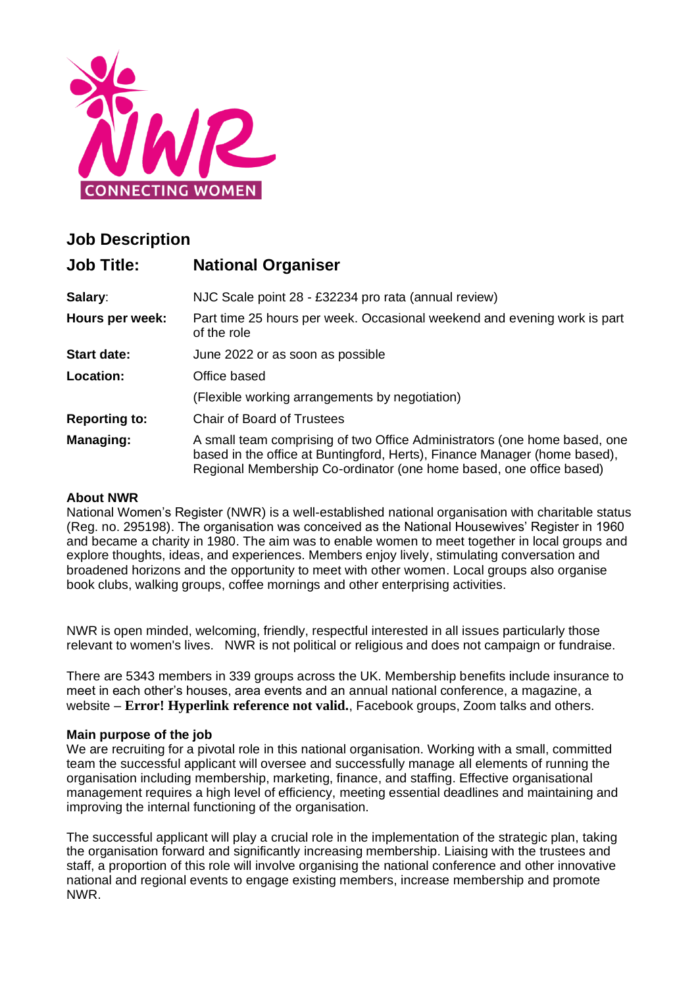

# **Job Description**

| <b>Job Title:</b>    | <b>National Organiser</b>                                                                                                                                                                                                     |  |
|----------------------|-------------------------------------------------------------------------------------------------------------------------------------------------------------------------------------------------------------------------------|--|
| Salary:              | NJC Scale point 28 - £32234 pro rata (annual review)                                                                                                                                                                          |  |
| Hours per week:      | Part time 25 hours per week. Occasional weekend and evening work is part<br>of the role                                                                                                                                       |  |
| <b>Start date:</b>   | June 2022 or as soon as possible                                                                                                                                                                                              |  |
| Location:            | Office based                                                                                                                                                                                                                  |  |
|                      | (Flexible working arrangements by negotiation)                                                                                                                                                                                |  |
| <b>Reporting to:</b> | <b>Chair of Board of Trustees</b>                                                                                                                                                                                             |  |
| Managing:            | A small team comprising of two Office Administrators (one home based, one<br>based in the office at Buntingford, Herts), Finance Manager (home based),<br>Regional Membership Co-ordinator (one home based, one office based) |  |

#### **About NWR**

National Women's Register (NWR) is a well-established national organisation with charitable status (Reg. no. 295198). The organisation was conceived as the National Housewives' Register in 1960 and became a charity in 1980. The aim was to enable women to meet together in local groups and explore thoughts, ideas, and experiences. Members enjoy lively, stimulating conversation and broadened horizons and the opportunity to meet with other women. Local groups also organise book clubs, walking groups, coffee mornings and other enterprising activities.

NWR is open minded, welcoming, friendly, respectful interested in all issues particularly those relevant to women's lives. NWR is not political or religious and does not campaign or fundraise.

There are 5343 members in 339 groups across the UK. Membership benefits include insurance to meet in each other's houses, area events and an annual national conference, a magazine, a website – **Error! Hyperlink reference not valid.**, Facebook groups, Zoom talks and others.

#### **Main purpose of the job**

We are recruiting for a pivotal role in this national organisation. Working with a small, committed team the successful applicant will oversee and successfully manage all elements of running the organisation including membership, marketing, finance, and staffing. Effective organisational management requires a high level of efficiency, meeting essential deadlines and maintaining and improving the internal functioning of the organisation.

The successful applicant will play a crucial role in the implementation of the strategic plan, taking the organisation forward and significantly increasing membership. Liaising with the trustees and staff, a proportion of this role will involve organising the national conference and other innovative national and regional events to engage existing members, increase membership and promote NWR.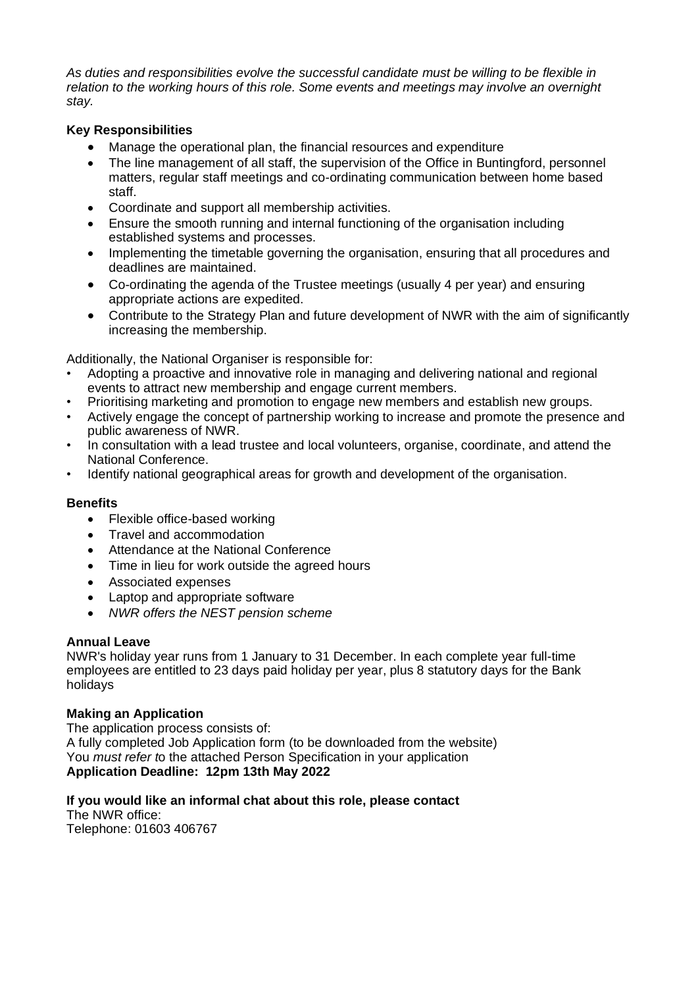*As duties and responsibilities evolve the successful candidate must be willing to be flexible in relation to the working hours of this role. Some events and meetings may involve an overnight stay.*

### **Key Responsibilities**

- Manage the operational plan, the financial resources and expenditure
- The line management of all staff, the supervision of the Office in Buntingford, personnel matters, regular staff meetings and co-ordinating communication between home based staff.
- Coordinate and support all membership activities.
- Ensure the smooth running and internal functioning of the organisation including established systems and processes.
- Implementing the timetable governing the organisation, ensuring that all procedures and deadlines are maintained.
- Co-ordinating the agenda of the Trustee meetings (usually 4 per year) and ensuring appropriate actions are expedited.
- Contribute to the Strategy Plan and future development of NWR with the aim of significantly increasing the membership.

Additionally, the National Organiser is responsible for:

- Adopting a proactive and innovative role in managing and delivering national and regional events to attract new membership and engage current members.
- Prioritising marketing and promotion to engage new members and establish new groups.
- Actively engage the concept of partnership working to increase and promote the presence and public awareness of NWR.
- In consultation with a lead trustee and local volunteers, organise, coordinate, and attend the National Conference.
- Identify national geographical areas for growth and development of the organisation.

#### **Benefits**

- Flexible office-based working
- Travel and accommodation
- Attendance at the National Conference
- Time in lieu for work outside the agreed hours
- Associated expenses
- Laptop and appropriate software
- *NWR offers the NEST pension scheme*

#### **Annual Leave**

NWR's holiday year runs from 1 January to 31 December. In each complete year full-time employees are entitled to 23 days paid holiday per year, plus 8 statutory days for the Bank holidays

## **Making an Application**

The application process consists of: A fully completed Job Application form (to be downloaded from the website) You *must refer t*o the attached Person Specification in your application **Application Deadline: 12pm 13th May 2022**

#### **If you would like an informal chat about this role, please contact**

The NWR office: Telephone: 01603 406767